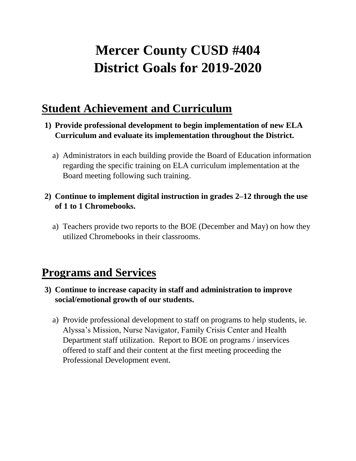# **Mercer County CUSD #404 District Goals for 2019-2020**

### **Student Achievement and Curriculum**

- **1) Provide professional development to begin implementation of new ELA Curriculum and evaluate its implementation throughout the District.**
	- a) Administrators in each building provide the Board of Education information regarding the specific training on ELA curriculum implementation at the Board meeting following such training.

#### **2) Continue to implement digital instruction in grades 2–12 through the use of 1 to 1 Chromebooks.**

a) Teachers provide two reports to the BOE (December and May) on how they utilized Chromebooks in their classrooms.

### **Programs and Services**

- **3) Continue to increase capacity in staff and administration to improve social/emotional growth of our students.**
	- a) Provide professional development to staff on programs to help students, ie. Alyssa's Mission, Nurse Navigator, Family Crisis Center and Health Department staff utilization. Report to BOE on programs / inservices offered to staff and their content at the first meeting proceeding the Professional Development event.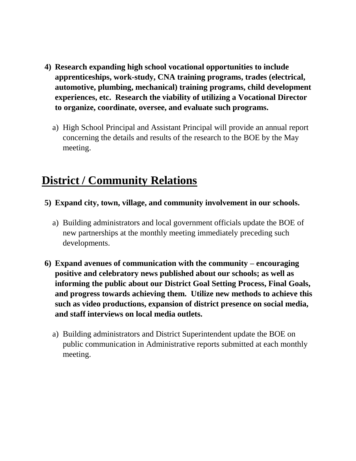- **4) Research expanding high school vocational opportunities to include apprenticeships, work-study, CNA training programs, trades (electrical, automotive, plumbing, mechanical) training programs, child development experiences, etc. Research the viability of utilizing a Vocational Director to organize, coordinate, oversee, and evaluate such programs.**
	- a) High School Principal and Assistant Principal will provide an annual report concerning the details and results of the research to the BOE by the May meeting.

## **District / Community Relations**

- **5) Expand city, town, village, and community involvement in our schools.**
	- a) Building administrators and local government officials update the BOE of new partnerships at the monthly meeting immediately preceding such developments.
- **6) Expand avenues of communication with the community – encouraging positive and celebratory news published about our schools; as well as informing the public about our District Goal Setting Process, Final Goals, and progress towards achieving them. Utilize new methods to achieve this such as video productions, expansion of district presence on social media, and staff interviews on local media outlets.**
	- a) Building administrators and District Superintendent update the BOE on public communication in Administrative reports submitted at each monthly meeting.